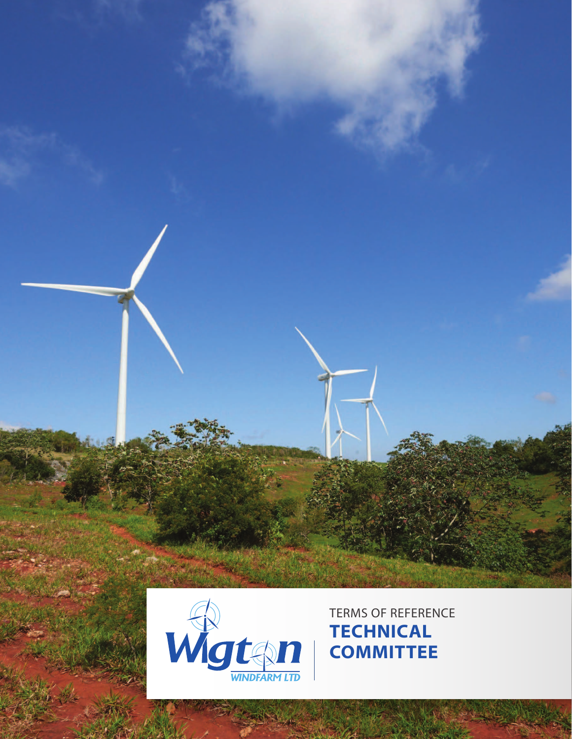



**TECHNICAL COMMITTEE**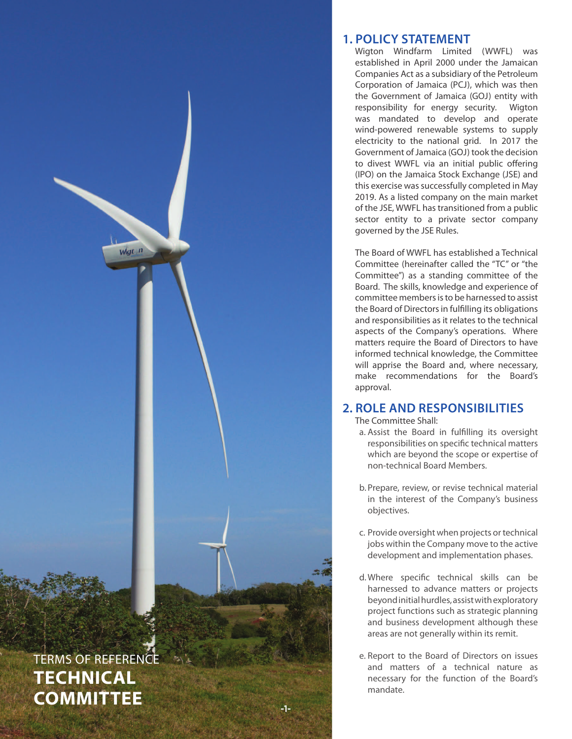

Wigt n

### **1. POLICY STATEMENT**

Wigton Windfarm Limited (WWFL) was established in April 2000 under the Jamaican Companies Act as a subsidiary of the Petroleum Corporation of Jamaica (PCJ), which was then the Government of Jamaica (GOJ) entity with responsibility for energy security. Wigton was mandated to develop and operate wind-powered renewable systems to supply electricity to the national grid. In 2017 the Government of Jamaica (GOJ) took the decision to divest WWFL via an initial public offering (IPO) on the Jamaica Stock Exchange (JSE) and this exercise was successfully completed in May 2019. As a listed company on the main market of the JSE, WWFL has transitioned from a public sector entity to a private sector company governed by the JSE Rules.

The Board of WWFL has established a Technical Committee (hereinafter called the "TC" or "the Committee") as a standing committee of the Board. The skills, knowledge and experience of committee members is to be harnessed to assist the Board of Directors in fulfilling its obligations and responsibilities as it relates to the technical aspects of the Company's operations. Where matters require the Board of Directors to have informed technical knowledge, the Committee will apprise the Board and, where necessary, make recommendations for the Board's approval.

## **2. ROLE AND RESPONSIBILITIES**

The Committee Shall:

- a. Assist the Board in fulfilling its oversight responsibilities on specific technical matters which are beyond the scope or expertise of non-technical Board Members.
- b. Prepare, review, or revise technical material in the interest of the Company's business objectives.
- c. Provide oversight when projects or technical jobs within the Company move to the active development and implementation phases.
- d.Where specific technical skills can be harnessed to advance matters or projects beyond initial hurdles, assist with exploratory project functions such as strategic planning and business development although these areas are not generally within its remit.
- e. Report to the Board of Directors on issues and matters of a technical nature as necessary for the function of the Board's mandate.

-1-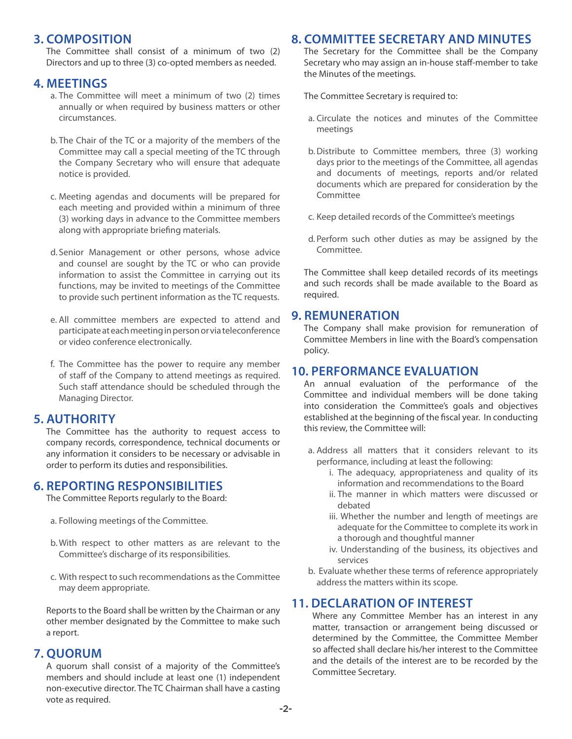## **3. COMPOSITION**

The Committee shall consist of a minimum of two (2) Directors and up to three (3) co-opted members as needed.

### **4. MEETINGS**

- a. The Committee will meet a minimum of two (2) times annually or when required by business matters or other circumstances.
- b. The Chair of the TC or a majority of the members of the Committee may call a special meeting of the TC through the Company Secretary who will ensure that adequate notice is provided.
- c. Meeting agendas and documents will be prepared for each meeting and provided within a minimum of three (3) working days in advance to the Committee members along with appropriate briefing materials.
- d. Senior Management or other persons, whose advice and counsel are sought by the TC or who can provide information to assist the Committee in carrying out its functions, may be invited to meetings of the Committee to provide such pertinent information as the TC requests.
- e. All committee members are expected to attend and participate at each meeting in person or via teleconference or video conference electronically.
- f. The Committee has the power to require any member of staff of the Company to attend meetings as required. Such staff attendance should be scheduled through the Managing Director.

## **5. AUTHORITY**

The Committee has the authority to request access to company records, correspondence, technical documents or any information it considers to be necessary or advisable in order to perform its duties and responsibilities.

### **6. REPORTING RESPONSIBILITIES**

The Committee Reports regularly to the Board:

- a. Following meetings of the Committee.
- b. With respect to other matters as are relevant to the Committee's discharge of its responsibilities.
- c. With respect to such recommendations as the Committee may deem appropriate.

Reports to the Board shall be written by the Chairman or any other member designated by the Committee to make such a report.

### **7. QUORUM**

A quorum shall consist of a majority of the Committee's members and should include at least one (1) independent non-executive director. The TC Chairman shall have a casting vote as required.

# **8. COMMITTEE SECRETARY AND MINUTES**

The Secretary for the Committee shall be the Company Secretary who may assign an in-house staff-member to take the Minutes of the meetings.

The Committee Secretary is required to:

- a. Circulate the notices and minutes of the Committee meetings
- b.Distribute to Committee members, three (3) working days prior to the meetings of the Committee, all agendas and documents of meetings, reports and/or related documents which are prepared for consideration by the Committee
- c. Keep detailed records of the Committee's meetings
- d. Perform such other duties as may be assigned by the Committee.

The Committee shall keep detailed records of its meetings and such records shall be made available to the Board as required.

#### **9. REMUNERATION**

The Company shall make provision for remuneration of Committee Members in line with the Board's compensation policy.

### **10. PERFORMANCE EVALUATION**

An annual evaluation of the performance of the Committee and individual members will be done taking into consideration the Committee's goals and objectives established at the beginning of the fiscal year. In conducting this review, the Committee will:

- a. Address all matters that it considers relevant to its performance, including at least the following:
	- i. The adequacy, appropriateness and quality of its information and recommendations to the Board
	- ii. The manner in which matters were discussed or debated
	- iii. Whether the number and length of meetings are adequate for the Committee to complete its work in a thorough and thoughtful manner
	- iv. Understanding of the business, its objectives and services
- b. Evaluate whether these terms of reference appropriately address the matters within its scope.

## **11. DECLARATION OF INTEREST**

Where any Committee Member has an interest in any matter, transaction or arrangement being discussed or determined by the Committee, the Committee Member so affected shall declare his/her interest to the Committee and the details of the interest are to be recorded by the Committee Secretary.